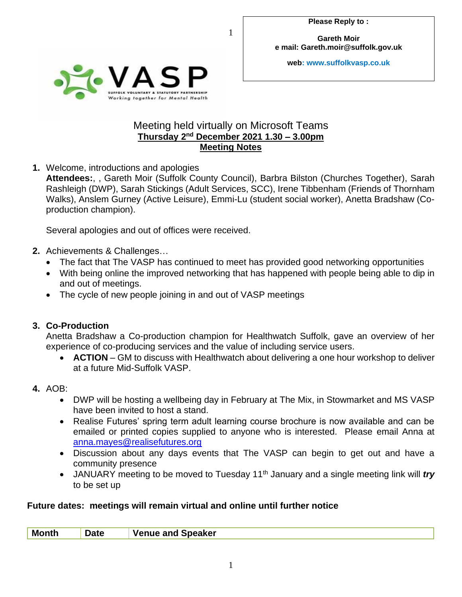**Gareth Moir e mail: Gareth.moir@suffolk.gov.uk**

**web: www.suffolkvasp.co.uk**



## Meeting held virtually on Microsoft Teams **Thursday 2 nd December 2021 1.30 – 3.00pm Meeting Notes**

1

**1.** Welcome, introductions and apologies

**Attendees:**, , Gareth Moir (Suffolk County Council), Barbra Bilston (Churches Together), Sarah Rashleigh (DWP), Sarah Stickings (Adult Services, SCC), Irene Tibbenham (Friends of Thornham Walks), Anslem Gurney (Active Leisure), Emmi-Lu (student social worker), Anetta Bradshaw (Coproduction champion).

Several apologies and out of offices were received.

- **2.** Achievements & Challenges…
	- The fact that The VASP has continued to meet has provided good networking opportunities
	- With being online the improved networking that has happened with people being able to dip in and out of meetings.
	- The cycle of new people joining in and out of VASP meetings

## **3. Co-Production**

Anetta Bradshaw a Co-production champion for Healthwatch Suffolk, gave an overview of her experience of co-producing services and the value of including service users.

- **ACTION** GM to discuss with Healthwatch about delivering a one hour workshop to deliver at a future Mid-Suffolk VASP.
- **4.** AOB:
	- DWP will be hosting a wellbeing day in February at The Mix, in Stowmarket and MS VASP have been invited to host a stand.
	- Realise Futures' spring term adult learning course brochure is now available and can be emailed or printed copies supplied to anyone who is interested. Please email Anna at [anna.mayes@realisefutures.org](mailto:anna.mayes@realisefutures.org)
	- Discussion about any days events that The VASP can begin to get out and have a community presence
	- JANUARY meeting to be moved to Tuesday 11<sup>th</sup> January and a single meeting link will *try* to be set up

## **Future dates: meetings will remain virtual and online until further notice**

| М | ____ | . Speaker<br>$\sim$<br>чю<br>$\mathbf{A}$ iil<br>------------ |
|---|------|---------------------------------------------------------------|
|   |      |                                                               |